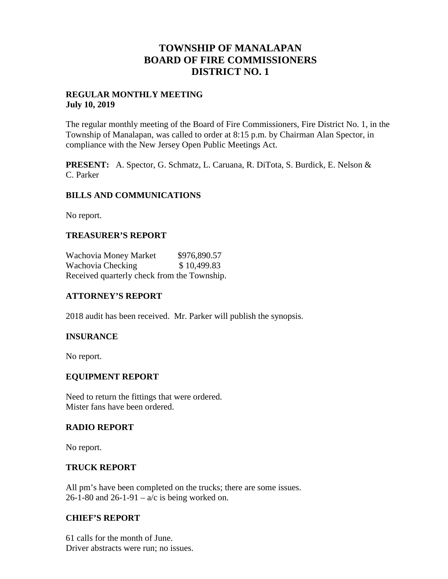## **TOWNSHIP OF MANALAPAN BOARD OF FIRE COMMISSIONERS DISTRICT NO. 1**

### **REGULAR MONTHLY MEETING July 10, 2019**

The regular monthly meeting of the Board of Fire Commissioners, Fire District No. 1, in the Township of Manalapan, was called to order at 8:15 p.m. by Chairman Alan Spector, in compliance with the New Jersey Open Public Meetings Act.

**PRESENT:** A. Spector, G. Schmatz, L. Caruana, R. DiTota, S. Burdick, E. Nelson & C. Parker

## **BILLS AND COMMUNICATIONS**

No report.

## **TREASURER'S REPORT**

Wachovia Money Market \$976,890.57 Wachovia Checking  $$10,499.83$ Received quarterly check from the Township.

## **ATTORNEY'S REPORT**

2018 audit has been received. Mr. Parker will publish the synopsis.

### **INSURANCE**

No report.

### **EQUIPMENT REPORT**

Need to return the fittings that were ordered. Mister fans have been ordered.

### **RADIO REPORT**

No report.

### **TRUCK REPORT**

All pm's have been completed on the trucks; there are some issues. 26-1-80 and 26-1-91 –  $a/c$  is being worked on.

### **CHIEF'S REPORT**

61 calls for the month of June. Driver abstracts were run; no issues.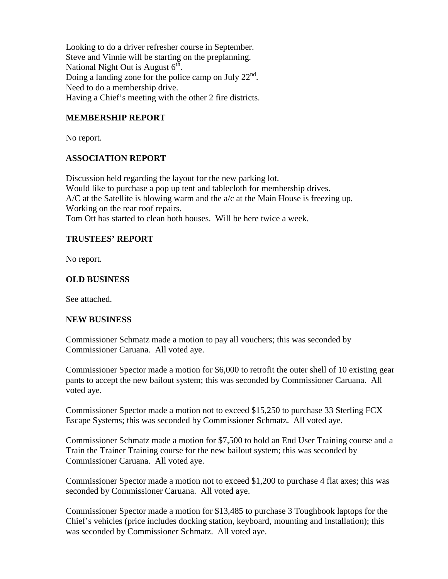Looking to do a driver refresher course in September. Steve and Vinnie will be starting on the preplanning. National Night Out is August  $6^{\text{th}}$ . Doing a landing zone for the police camp on July  $22<sup>nd</sup>$ . Need to do a membership drive. Having a Chief's meeting with the other 2 fire districts.

## **MEMBERSHIP REPORT**

No report.

### **ASSOCIATION REPORT**

Discussion held regarding the layout for the new parking lot. Would like to purchase a pop up tent and tablecloth for membership drives.  $A/C$  at the Satellite is blowing warm and the  $a/c$  at the Main House is freezing up. Working on the rear roof repairs. Tom Ott has started to clean both houses. Will be here twice a week.

### **TRUSTEES' REPORT**

No report.

### **OLD BUSINESS**

See attached.

#### **NEW BUSINESS**

Commissioner Schmatz made a motion to pay all vouchers; this was seconded by Commissioner Caruana. All voted aye.

Commissioner Spector made a motion for \$6,000 to retrofit the outer shell of 10 existing gear pants to accept the new bailout system; this was seconded by Commissioner Caruana. All voted aye.

Commissioner Spector made a motion not to exceed \$15,250 to purchase 33 Sterling FCX Escape Systems; this was seconded by Commissioner Schmatz. All voted aye.

Commissioner Schmatz made a motion for \$7,500 to hold an End User Training course and a Train the Trainer Training course for the new bailout system; this was seconded by Commissioner Caruana. All voted aye.

Commissioner Spector made a motion not to exceed \$1,200 to purchase 4 flat axes; this was seconded by Commissioner Caruana. All voted aye.

Commissioner Spector made a motion for \$13,485 to purchase 3 Toughbook laptops for the Chief's vehicles (price includes docking station, keyboard, mounting and installation); this was seconded by Commissioner Schmatz. All voted aye.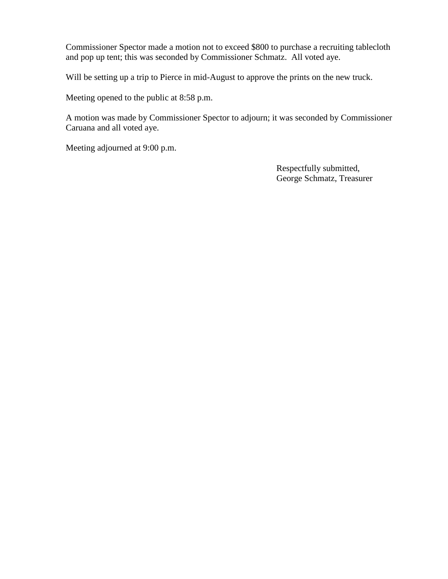Commissioner Spector made a motion not to exceed \$800 to purchase a recruiting tablecloth and pop up tent; this was seconded by Commissioner Schmatz. All voted aye.

Will be setting up a trip to Pierce in mid-August to approve the prints on the new truck.

Meeting opened to the public at 8:58 p.m.

A motion was made by Commissioner Spector to adjourn; it was seconded by Commissioner Caruana and all voted aye.

Meeting adjourned at 9:00 p.m.

Respectfully submitted, George Schmatz, Treasurer